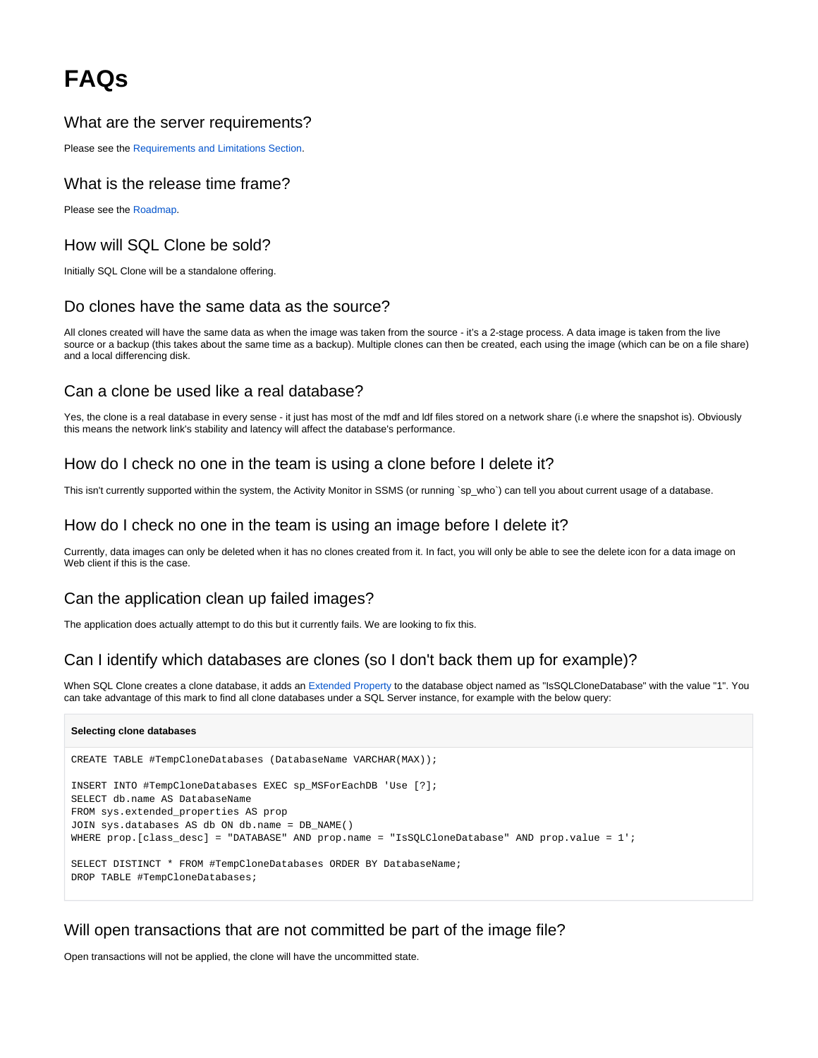# **FAQs**

### What are the server requirements?

Please see the [Requirements and Limitations Section](https://documentation.red-gate.com/display/CLONE0/Requirements).

#### What is the release time frame?

Please see the [Roadmap](http://www.red-gate.com/products/dba/sql-clone/roadmap).

### How will SQL Clone be sold?

Initially SQL Clone will be a standalone offering.

#### Do clones have the same data as the source?

All clones created will have the same data as when the image was taken from the source - it's a 2-stage process. A data image is taken from the live source or a backup (this takes about the same time as a backup). Multiple clones can then be created, each using the image (which can be on a file share) and a local differencing disk.

#### Can a clone be used like a real database?

Yes, the clone is a real database in every sense - it just has most of the mdf and ldf files stored on a network share (i.e where the snapshot is). Obviously this means the network link's stability and latency will affect the database's performance.

#### How do I check no one in the team is using a clone before I delete it?

This isn't currently supported within the system, the Activity Monitor in SSMS (or running `sp\_who`) can tell you about current usage of a database.

#### How do I check no one in the team is using an image before I delete it?

Currently, data images can only be deleted when it has no clones created from it. In fact, you will only be able to see the delete icon for a data image on Web client if this is the case.

# Can the application clean up failed images?

The application does actually attempt to do this but it currently fails. We are looking to fix this.

# Can I identify which databases are clones (so I don't back them up for example)?

When SQL Clone creates a clone database, it adds an [Extended Property](https://technet.microsoft.com/en-us/library/ms190243(v=sql.105).aspx) to the database object named as "IsSQLCloneDatabase" with the value "1". You can take advantage of this mark to find all clone databases under a SQL Server instance, for example with the below query:

#### **Selecting clone databases**

```
CREATE TABLE #TempCloneDatabases (DatabaseName VARCHAR(MAX));
INSERT INTO #TempCloneDatabases EXEC sp_MSForEachDB 'Use [?];
SELECT db.name AS DatabaseName
FROM sys.extended_properties AS prop
JOIN sys.databases AS db ON db.name = DB_NAME()
WHERE prop.[class_desc] = "DATABASE" AND prop.name = "IsSQLCloneDatabase" AND prop.value = 1';
SELECT DISTINCT * FROM #TempCloneDatabases ORDER BY DatabaseName;
DROP TABLE #TempCloneDatabases;
```
#### Will open transactions that are not committed be part of the image file?

Open transactions will not be applied, the clone will have the uncommitted state.